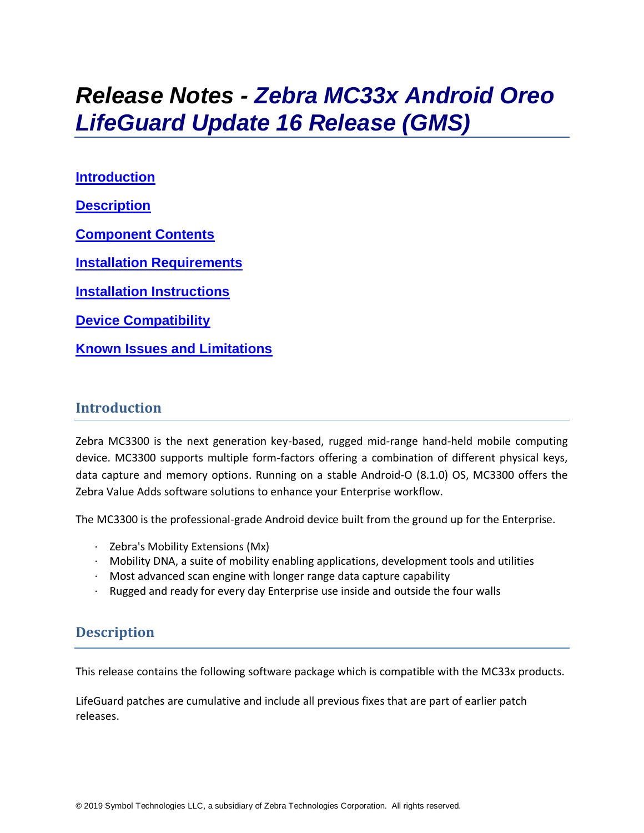# *Release Notes - Zebra MC33x Android Oreo LifeGuard Update 16 Release (GMS)*

**[Introduction](#page-0-0) [Description](#page-0-1) [Component Contents](#page-1-0) [Installation Requirements](#page-6-0) [Installation Instructions](#page-6-1) [Device Compatibility](#page-7-0) Known [Issues and Limitations](#page-10-0)**

## <span id="page-0-0"></span>**Introduction**

Zebra MC3300 is the next generation key-based, rugged mid-range hand-held mobile computing device. MC3300 supports multiple form-factors offering a combination of different physical keys, data capture and memory options. Running on a stable Android-O (8.1.0) OS, MC3300 offers the Zebra Value Adds software solutions to enhance your Enterprise workflow.

The MC3300 is the professional-grade Android device built from the ground up for the Enterprise.

- · Zebra's Mobility Extensions (Mx)
- $\cdot$  Mobility DNA, a suite of mobility enabling applications, development tools and utilities
- $\cdot$  Most advanced scan engine with longer range data capture capability
- <span id="page-0-1"></span>· Rugged and ready for every day Enterprise use inside and outside the four walls

# **Description**

This release contains the following software package which is compatible with the MC33x products.

LifeGuard patches are cumulative and include all previous fixes that are part of earlier patch releases.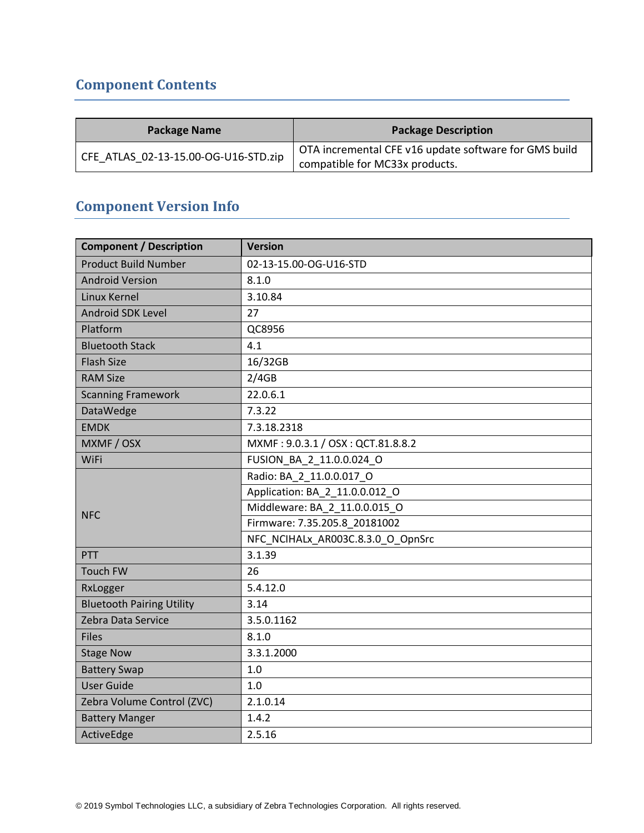# <span id="page-1-0"></span>**Component Contents**

| <b>Package Name</b>                  | <b>Package Description</b>                                                              |
|--------------------------------------|-----------------------------------------------------------------------------------------|
| CFE ATLAS 02-13-15.00-OG-U16-STD.zip | OTA incremental CFE v16 update software for GMS build<br>compatible for MC33x products. |

# **Component Version Info**

| <b>Component / Description</b>   | <b>Version</b>                    |  |  |
|----------------------------------|-----------------------------------|--|--|
| <b>Product Build Number</b>      | 02-13-15.00-OG-U16-STD            |  |  |
| <b>Android Version</b>           | 8.1.0                             |  |  |
| Linux Kernel                     | 3.10.84                           |  |  |
| Android SDK Level                | 27                                |  |  |
| Platform                         | QC8956                            |  |  |
| <b>Bluetooth Stack</b>           | 4.1                               |  |  |
| <b>Flash Size</b>                | 16/32GB                           |  |  |
| <b>RAM Size</b>                  | 2/4GB                             |  |  |
| <b>Scanning Framework</b>        | 22.0.6.1                          |  |  |
| DataWedge                        | 7.3.22                            |  |  |
| <b>EMDK</b>                      | 7.3.18.2318                       |  |  |
| MXMF / OSX                       | MXMF: 9.0.3.1 / OSX: QCT.81.8.8.2 |  |  |
| WiFi                             | FUSION_BA_2_11.0.0.024_O          |  |  |
|                                  | Radio: BA_2_11.0.0.017_O          |  |  |
|                                  | Application: BA_2_11.0.0.012_O    |  |  |
| <b>NFC</b>                       | Middleware: BA_2_11.0.0.015 O     |  |  |
|                                  | Firmware: 7.35.205.8 20181002     |  |  |
|                                  | NFC NCIHALx AR003C.8.3.0 O OpnSrc |  |  |
| PTT                              | 3.1.39                            |  |  |
| <b>Touch FW</b>                  | 26                                |  |  |
| RxLogger                         | 5.4.12.0                          |  |  |
| <b>Bluetooth Pairing Utility</b> | 3.14                              |  |  |
| Zebra Data Service               | 3.5.0.1162                        |  |  |
| <b>Files</b>                     | 8.1.0                             |  |  |
| <b>Stage Now</b>                 | 3.3.1.2000                        |  |  |
| <b>Battery Swap</b>              | 1.0                               |  |  |
| <b>User Guide</b>                | 1.0                               |  |  |
| Zebra Volume Control (ZVC)       | 2.1.0.14                          |  |  |
| <b>Battery Manger</b>            | 1.4.2                             |  |  |
| ActiveEdge                       | 2.5.16                            |  |  |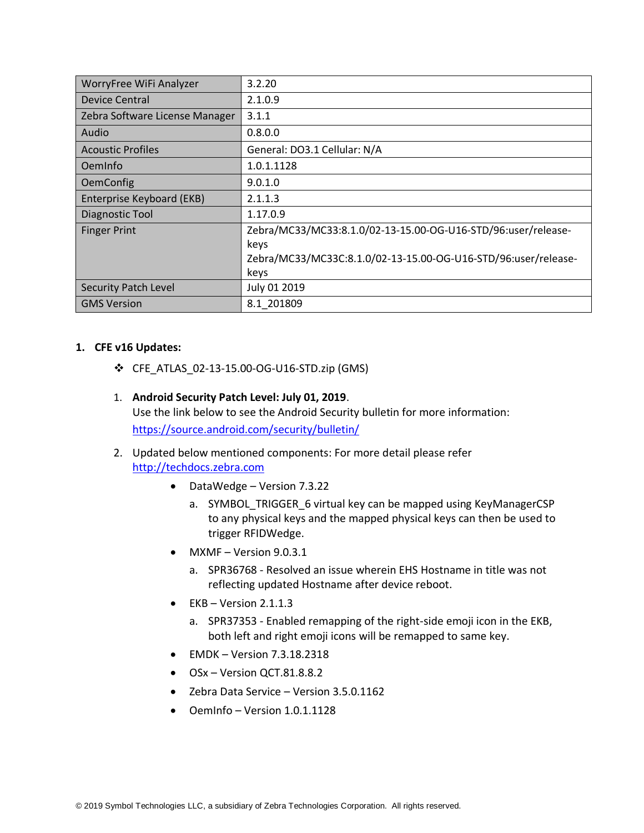| WorryFree WiFi Analyzer        | 3.2.20                                                         |
|--------------------------------|----------------------------------------------------------------|
| Device Central                 | 2.1.0.9                                                        |
| Zebra Software License Manager | 3.1.1                                                          |
| Audio                          | 0.8.0.0                                                        |
| <b>Acoustic Profiles</b>       | General: DO3.1 Cellular: N/A                                   |
| OemInfo                        | 1.0.1.1128                                                     |
| <b>OemConfig</b>               | 9.0.1.0                                                        |
| Enterprise Keyboard (EKB)      | 2.1.1.3                                                        |
| Diagnostic Tool                | 1.17.0.9                                                       |
| <b>Finger Print</b>            | Zebra/MC33/MC33:8.1.0/02-13-15.00-OG-U16-STD/96:user/release-  |
|                                | keys                                                           |
|                                | Zebra/MC33/MC33C:8.1.0/02-13-15.00-OG-U16-STD/96:user/release- |
|                                | keys                                                           |
| Security Patch Level           | July 01 2019                                                   |
| <b>GMS Version</b>             | 8.1 201809                                                     |

#### **1. CFE v16 Updates:**

- ❖ CFE\_ATLAS\_02-13-15.00-OG-U16-STD.zip (GMS)
- 1. **Android Security Patch Level: July 01, 2019**. Use the link below to see the Android Security bulletin for more information: <https://source.android.com/security/bulletin/>
- 2. Updated below mentioned components: For more detail please refer [http://techdocs.zebra.com](http://techdocs.zebra.com/)
	- DataWedge Version 7.3.22
		- a. SYMBOL TRIGGER 6 virtual key can be mapped using KeyManagerCSP to any physical keys and the mapped physical keys can then be used to trigger RFIDWedge.
	- $MXMF Version 9.0.3.1$ 
		- a. SPR36768 Resolved an issue wherein EHS Hostname in title was not reflecting updated Hostname after device reboot.
	- $\bullet$  EKB Version 2.1.1.3
		- a. SPR37353 Enabled remapping of the right-side emoji icon in the EKB, both left and right emoji icons will be remapped to same key.
	- EMDK Version 7.3.18.2318
	- OSx Version QCT.81.8.8.2
	- Zebra Data Service Version 3.5.0.1162
	- OemInfo Version 1.0.1.1128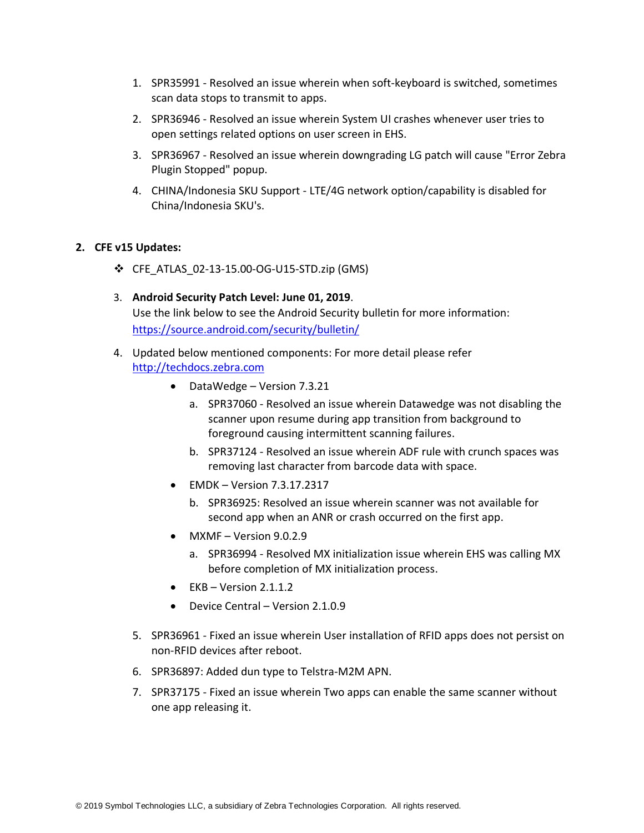- 1. SPR35991 Resolved an issue wherein when soft-keyboard is switched, sometimes scan data stops to transmit to apps.
- 2. SPR36946 Resolved an issue wherein System UI crashes whenever user tries to open settings related options on user screen in EHS.
- 3. SPR36967 Resolved an issue wherein downgrading LG patch will cause "Error Zebra Plugin Stopped" popup.
- 4. CHINA/Indonesia SKU Support LTE/4G network option/capability is disabled for China/Indonesia SKU's.

#### **2. CFE v15 Updates:**

- ❖ CFE\_ATLAS\_02-13-15.00-OG-U15-STD.zip (GMS)
- 3. **Android Security Patch Level: June 01, 2019**. Use the link below to see the Android Security bulletin for more information: <https://source.android.com/security/bulletin/>
- 4. Updated below mentioned components: For more detail please refer [http://techdocs.zebra.com](http://techdocs.zebra.com/)
	- DataWedge Version 7.3.21
		- a. SPR37060 Resolved an issue wherein Datawedge was not disabling the scanner upon resume during app transition from background to foreground causing intermittent scanning failures.
		- b. SPR37124 Resolved an issue wherein ADF rule with crunch spaces was removing last character from barcode data with space.
	- EMDK Version 7.3.17.2317
		- b. SPR36925: Resolved an issue wherein scanner was not available for second app when an ANR or crash occurred on the first app.
	- MXMF Version 9.0.2.9
		- a. SPR36994 Resolved MX initialization issue wherein EHS was calling MX before completion of MX initialization process.
	- $\bullet$  EKB Version 2.1.1.2
	- Device Central Version 2.1.0.9
	- 5. SPR36961 Fixed an issue wherein User installation of RFID apps does not persist on non-RFID devices after reboot.
	- 6. SPR36897: Added dun type to Telstra-M2M APN.
	- 7. SPR37175 Fixed an issue wherein Two apps can enable the same scanner without one app releasing it.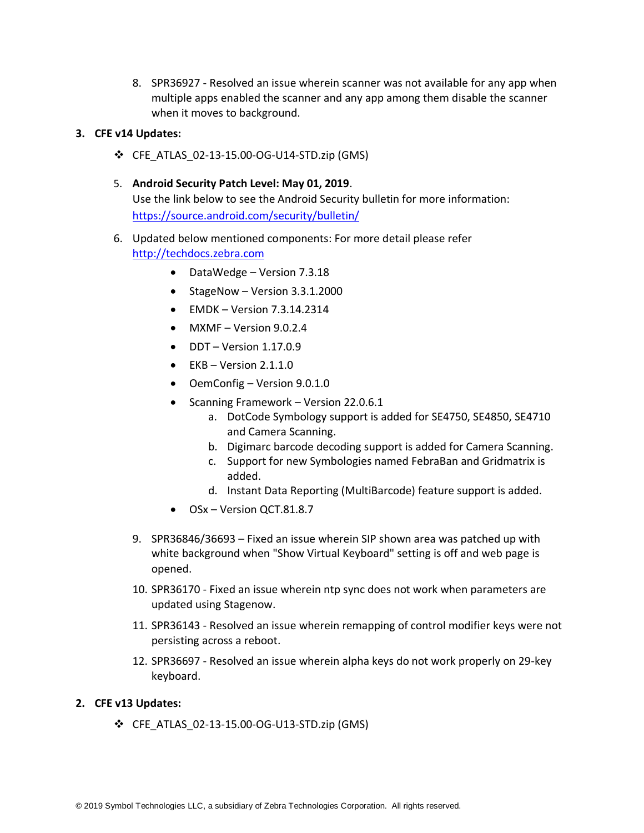8. SPR36927 - Resolved an issue wherein scanner was not available for any app when multiple apps enabled the scanner and any app among them disable the scanner when it moves to background.

#### **3. CFE v14 Updates:**

- ❖ CFE\_ATLAS\_02-13-15.00-OG-U14-STD.zip (GMS)
- 5. **Android Security Patch Level: May 01, 2019**. Use the link below to see the Android Security bulletin for more information: <https://source.android.com/security/bulletin/>
- 6. Updated below mentioned components: For more detail please refer [http://techdocs.zebra.com](http://techdocs.zebra.com/)
	- DataWedge Version 7.3.18
	- StageNow Version 3.3.1.2000
	- $\bullet$  FMDK Version 7.3.14.2314
	- MXMF Version 9.0.2.4
	- $\bullet$  DDT Version 1.17.0.9
	- $\bullet$  EKB Version 2.1.1.0
	- OemConfig Version 9.0.1.0
	- Scanning Framework Version 22.0.6.1
		- a. DotCode Symbology support is added for SE4750, SE4850, SE4710 and Camera Scanning.
		- b. Digimarc barcode decoding support is added for Camera Scanning.
		- c. Support for new Symbologies named FebraBan and Gridmatrix is added.
		- d. Instant Data Reporting (MultiBarcode) feature support is added.
	- OSx Version QCT.81.8.7
	- 9. SPR36846/36693 Fixed an issue wherein SIP shown area was patched up with white background when "Show Virtual Keyboard" setting is off and web page is opened.
	- 10. SPR36170 Fixed an issue wherein ntp sync does not work when parameters are updated using Stagenow.
	- 11. SPR36143 Resolved an issue wherein remapping of control modifier keys were not persisting across a reboot.
	- 12. SPR36697 Resolved an issue wherein alpha keys do not work properly on 29-key keyboard.

#### **2. CFE v13 Updates:**

❖ CFE\_ATLAS\_02-13-15.00-OG-U13-STD.zip (GMS)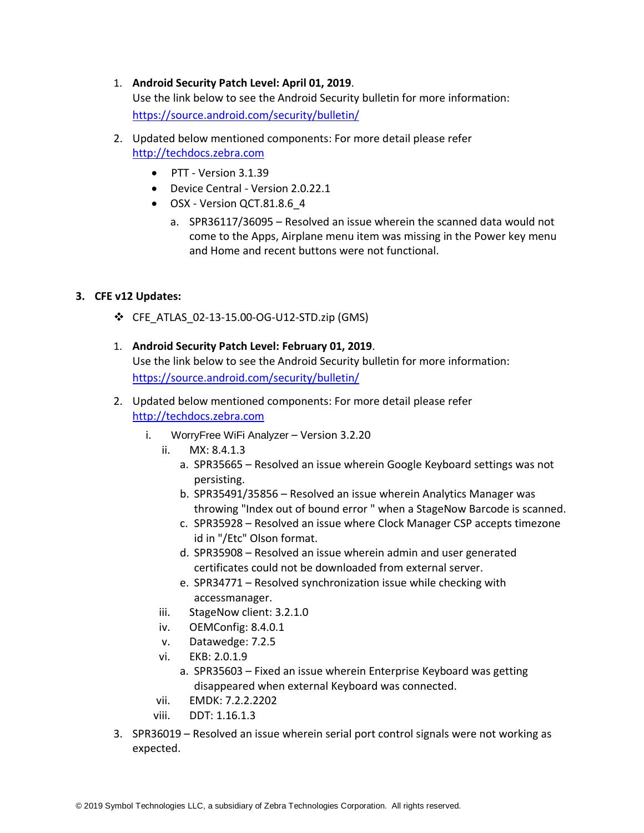#### 1. **Android Security Patch Level: April 01, 2019**.

Use the link below to see the Android Security bulletin for more information: <https://source.android.com/security/bulletin/>

- 2. Updated below mentioned components: For more detail please refer [http://techdocs.zebra.com](http://techdocs.zebra.com/)
	- PTT Version 3.1.39
	- Device Central Version 2.0.22.1
	- OSX Version QCT.81.8.6\_4
		- a. SPR36117/36095 Resolved an issue wherein the scanned data would not come to the Apps, Airplane menu item was missing in the Power key menu and Home and recent buttons were not functional.

#### **3. CFE v12 Updates:**

- ❖ CFE\_ATLAS\_02-13-15.00-OG-U12-STD.zip (GMS)
- 1. **Android Security Patch Level: February 01, 2019**. Use the link below to see the Android Security bulletin for more information: <https://source.android.com/security/bulletin/>
- 2. Updated below mentioned components: For more detail please refer [http://techdocs.zebra.com](http://techdocs.zebra.com/)
	- i. WorryFree WiFi Analyzer Version 3.2.20
		- ii. MX: 8.4.1.3
			- a. SPR35665 Resolved an issue wherein Google Keyboard settings was not persisting.
			- b. SPR35491/35856 Resolved an issue wherein Analytics Manager was throwing "Index out of bound error " when a StageNow Barcode is scanned.
			- c. SPR35928 Resolved an issue where Clock Manager CSP accepts timezone id in "/Etc" Olson format.
			- d. SPR35908 Resolved an issue wherein admin and user generated certificates could not be downloaded from external server.
			- e. SPR34771 Resolved synchronization issue while checking with accessmanager.
		- iii. StageNow client: 3.2.1.0
		- iv. OEMConfig: 8.4.0.1
		- v. Datawedge: 7.2.5
		- vi. EKB: 2.0.1.9
			- a. SPR35603 Fixed an issue wherein Enterprise Keyboard was getting disappeared when external Keyboard was connected.
		- vii. EMDK: 7.2.2.2202
		- viii. DDT: 1.16.1.3
- 3. SPR36019 Resolved an issue wherein serial port control signals were not working as expected.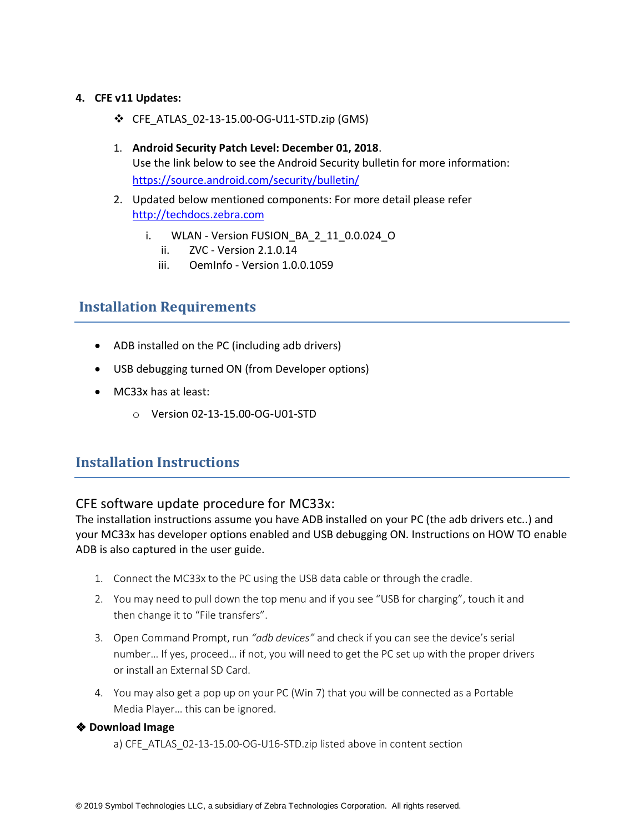#### **4. CFE v11 Updates:**

- ❖ CFE\_ATLAS\_02-13-15.00-OG-U11-STD.zip (GMS)
- 1. **Android Security Patch Level: December 01, 2018**. Use the link below to see the Android Security bulletin for more information: <https://source.android.com/security/bulletin/>
- 2. Updated below mentioned components: For more detail please refer [http://techdocs.zebra.com](http://techdocs.zebra.com/)
	- i. WLAN Version FUSION\_BA\_2\_11\_0.0.024\_O
		- ii. ZVC Version 2.1.0.14
		- iii. OemInfo Version 1.0.0.1059

### <span id="page-6-0"></span>**Installation Requirements**

- ADB installed on the PC (including adb drivers)
- USB debugging turned ON (from Developer options)
- MC33x has at least:
	- o Version 02-13-15.00-OG-U01-STD

## <span id="page-6-1"></span>**Installation Instructions**

#### CFE software update procedure for MC33x:

The installation instructions assume you have ADB installed on your PC (the adb drivers etc..) and your MC33x has developer options enabled and USB debugging ON. Instructions on HOW TO enable ADB is also captured in the user guide.

- 1. Connect the MC33x to the PC using the USB data cable or through the cradle.
- 2. You may need to pull down the top menu and if you see "USB for charging", touch it and then change it to "File transfers".
- 3. Open Command Prompt, run *"adb devices"* and check if you can see the device's serial number… If yes, proceed… if not, you will need to get the PC set up with the proper drivers or install an External SD Card.
- 4. You may also get a pop up on your PC (Win 7) that you will be connected as a Portable Media Player… this can be ignored.

#### ❖ **Download Image**

a) CFE\_ATLAS\_02-13-15.00-OG-U16-STD.zip listed above in content section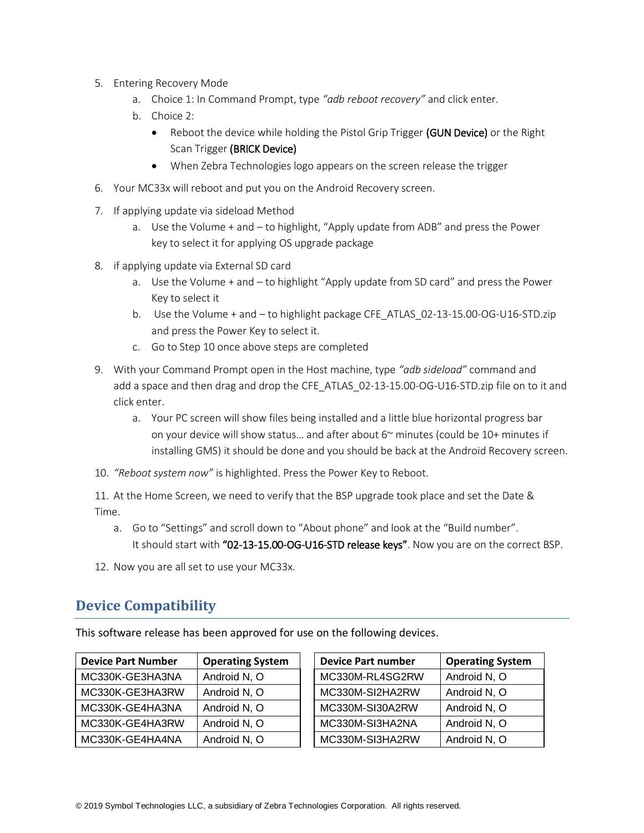- 5. Entering Recovery Mode
	- a. Choice 1: In Command Prompt, type *"adb reboot recovery"* and click enter.
	- b. Choice 2:
		- Reboot the device while holding the Pistol Grip Trigger (GUN Device) or the Right Scan Trigger (BRICK Device)
		- When Zebra Technologies logo appears on the screen release the trigger
- 6. Your MC33x will reboot and put you on the Android Recovery screen.
- 7. If applying update via sideload Method
	- a. Use the Volume + and to highlight, "Apply update from ADB" and press the Power key to select it for applying OS upgrade package
- 8. if applying update via External SD card
	- a. Use the Volume + and to highlight "Apply update from SD card" and press the Power Key to select it
	- b. Use the Volume + and to highlight package CFE\_ATLAS\_02-13-15.00-OG-U16-STD.zip and press the Power Key to select it.
	- c. Go to Step 10 once above steps are completed
- 9. With your Command Prompt open in the Host machine, type *"adb sideload"* command and add a space and then drag and drop the CFE\_ATLAS\_02-13-15.00-OG-U16-STD.zip file on to it and click enter.
	- a. Your PC screen will show files being installed and a little blue horizontal progress bar on your device will show status... and after about  $6<sup>\sim</sup>$  minutes (could be 10+ minutes if installing GMS) it should be done and you should be back at the Android Recovery screen.
- 10. *"Reboot system now"* is highlighted. Press the Power Key to Reboot.
- 11. At the Home Screen, we need to verify that the BSP upgrade took place and set the Date & Time.
	- a. Go to "Settings" and scroll down to "About phone" and look at the "Build number". It should start with "02-13-15.00-OG-U16-STD release keys". Now you are on the correct BSP.
- 12. Now you are all set to use your MC33x.

# <span id="page-7-0"></span>**Device Compatibility**

This software release has been approved for use on the following devices.

| <b>Device Part Number</b> | <b>Operating System</b> | <b>Device Part number</b> | <b>Operating System</b> |
|---------------------------|-------------------------|---------------------------|-------------------------|
| MC330K-GE3HA3NA           | Android N, O            | MC330M-RL4SG2RW           | Android N, O            |
| MC330K-GE3HA3RW           | Android N, O            | MC330M-SI2HA2RW           | Android N, O            |
| MC330K-GE4HA3NA           | Android N, O            | MC330M-SI30A2RW           | Android N, O            |
| MC330K-GE4HA3RW           | Android N, O            | MC330M-SI3HA2NA           | Android N, O            |
| MC330K-GE4HA4NA           | Android N, O            | MC330M-SI3HA2RW           | Android N, O            |

| <b>Device Part number</b> | <b>Operating System</b> |
|---------------------------|-------------------------|
| MC330M-RL4SG2RW           | Android N, O            |
| MC330M-SI2HA2RW           | Android N, O            |
| MC330M-SI30A2RW           | Android N, O            |
| MC330M-SI3HA2NA           | Android N, O            |
| MC330M-SI3HA2RW           | Android N, O            |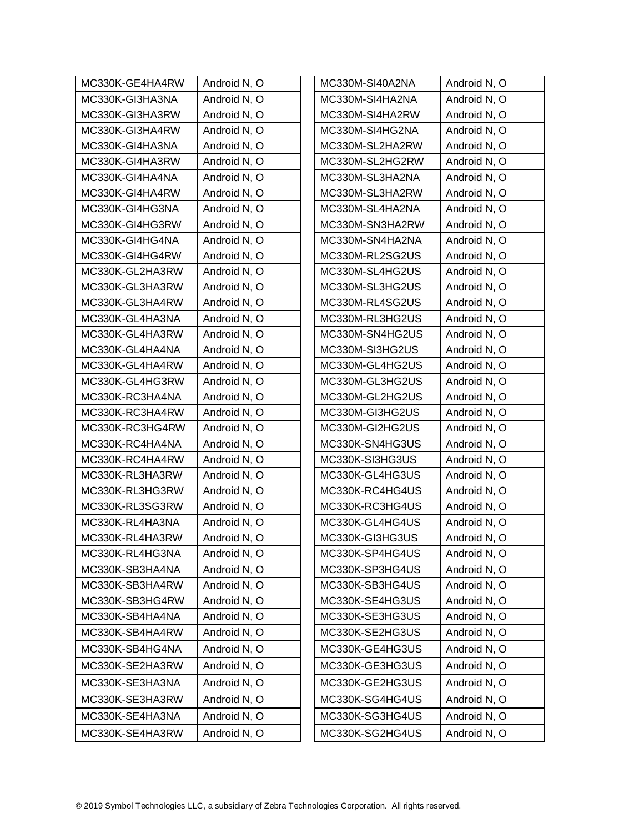| MC330K-GE4HA4RW | Android N, O | MC330M-SI40A2NA | Android N, O |
|-----------------|--------------|-----------------|--------------|
| MC330K-GI3HA3NA | Android N, O | MC330M-SI4HA2NA | Android N, O |
| MC330K-GI3HA3RW | Android N, O | MC330M-SI4HA2RW | Android N, O |
| MC330K-GI3HA4RW | Android N, O | MC330M-SI4HG2NA | Android N, O |
| MC330K-GI4HA3NA | Android N, O | MC330M-SL2HA2RW | Android N, O |
| MC330K-GI4HA3RW | Android N, O | MC330M-SL2HG2RW | Android N, O |
| MC330K-GI4HA4NA | Android N, O | MC330M-SL3HA2NA | Android N, O |
| MC330K-GI4HA4RW | Android N, O | MC330M-SL3HA2RW | Android N, O |
| MC330K-GI4HG3NA | Android N, O | MC330M-SL4HA2NA | Android N, O |
| MC330K-GI4HG3RW | Android N, O | MC330M-SN3HA2RW | Android N, O |
| MC330K-GI4HG4NA | Android N, O | MC330M-SN4HA2NA | Android N, O |
| MC330K-GI4HG4RW | Android N, O | MC330M-RL2SG2US | Android N, O |
| MC330K-GL2HA3RW | Android N, O | MC330M-SL4HG2US | Android N, O |
| MC330K-GL3HA3RW | Android N, O | MC330M-SL3HG2US | Android N, O |
| MC330K-GL3HA4RW | Android N, O | MC330M-RL4SG2US | Android N, O |
| MC330K-GL4HA3NA | Android N, O | MC330M-RL3HG2US | Android N, O |
| MC330K-GL4HA3RW | Android N, O | MC330M-SN4HG2US | Android N, O |
| MC330K-GL4HA4NA | Android N, O | MC330M-SI3HG2US | Android N, O |
| MC330K-GL4HA4RW | Android N, O | MC330M-GL4HG2US | Android N, O |
| MC330K-GL4HG3RW | Android N, O | MC330M-GL3HG2US | Android N, O |
| MC330K-RC3HA4NA | Android N, O | MC330M-GL2HG2US | Android N, O |
| MC330K-RC3HA4RW | Android N, O | MC330M-GI3HG2US | Android N, O |
| MC330K-RC3HG4RW | Android N, O | MC330M-GI2HG2US | Android N, O |
| MC330K-RC4HA4NA | Android N, O | MC330K-SN4HG3US | Android N, O |
| MC330K-RC4HA4RW | Android N, O | MC330K-SI3HG3US | Android N, O |
| MC330K-RL3HA3RW | Android N, O | MC330K-GL4HG3US | Android N, O |
| MC330K-RL3HG3RW | Android N, O | MC330K-RC4HG4US | Android N, O |
| MC330K-RL3SG3RW | Android N, O | MC330K-RC3HG4US | Android N, O |
| MC330K-RL4HA3NA | Android N, O | MC330K-GL4HG4US | Android N, O |
| MC330K-RL4HA3RW | Android N, O | MC330K-GI3HG3US | Android N, O |
| MC330K-RL4HG3NA | Android N, O | MC330K-SP4HG4US | Android N, O |
| MC330K-SB3HA4NA | Android N, O | MC330K-SP3HG4US | Android N, O |
| MC330K-SB3HA4RW | Android N, O | MC330K-SB3HG4US | Android N, O |
| MC330K-SB3HG4RW | Android N, O | MC330K-SE4HG3US | Android N, O |
| MC330K-SB4HA4NA | Android N, O | MC330K-SE3HG3US | Android N, O |
| MC330K-SB4HA4RW | Android N, O | MC330K-SE2HG3US | Android N, O |
| MC330K-SB4HG4NA | Android N, O | MC330K-GE4HG3US | Android N, O |
| MC330K-SE2HA3RW | Android N, O | MC330K-GE3HG3US | Android N, O |
| MC330K-SE3HA3NA | Android N, O | MC330K-GE2HG3US | Android N, O |
| MC330K-SE3HA3RW | Android N, O | MC330K-SG4HG4US | Android N, O |
| MC330K-SE4HA3NA | Android N, O | MC330K-SG3HG4US | Android N, O |
| MC330K-SE4HA3RW | Android N, O | MC330K-SG2HG4US | Android N, O |
|                 |              |                 |              |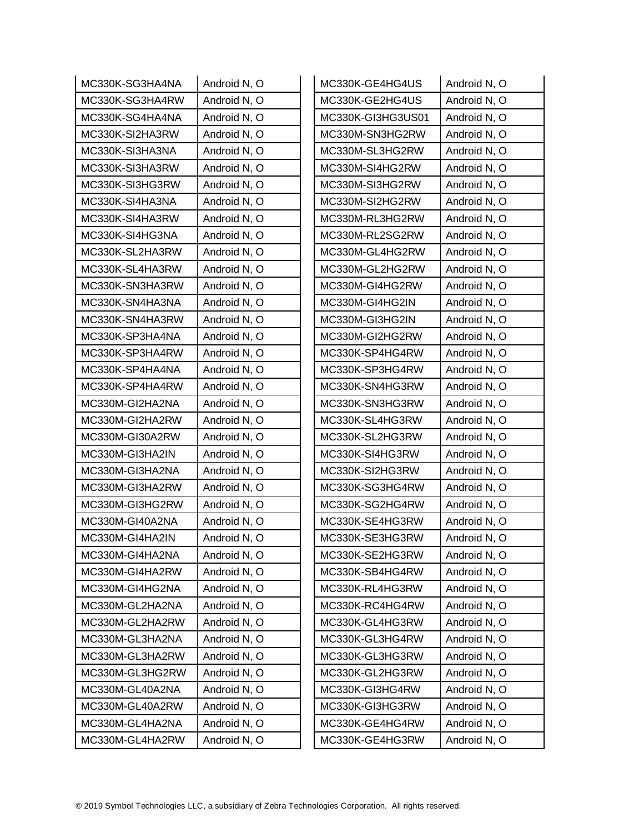| MC330K-SG3HA4NA | Android N, O | MC330K-GE4HG4US   | Android N, O |
|-----------------|--------------|-------------------|--------------|
| MC330K-SG3HA4RW | Android N, O | MC330K-GE2HG4US   | Android N, O |
| MC330K-SG4HA4NA | Android N, O | MC330K-GI3HG3US01 | Android N, O |
| MC330K-SI2HA3RW | Android N, O | MC330M-SN3HG2RW   | Android N, O |
| MC330K-SI3HA3NA | Android N, O | MC330M-SL3HG2RW   | Android N, O |
| MC330K-SI3HA3RW | Android N, O | MC330M-SI4HG2RW   | Android N, O |
| MC330K-SI3HG3RW | Android N, O | MC330M-SI3HG2RW   | Android N, O |
| MC330K-SI4HA3NA | Android N, O | MC330M-SI2HG2RW   | Android N, O |
| MC330K-SI4HA3RW | Android N, O | MC330M-RL3HG2RW   | Android N, O |
| MC330K-SI4HG3NA | Android N, O | MC330M-RL2SG2RW   | Android N, O |
| MC330K-SL2HA3RW | Android N, O | MC330M-GL4HG2RW   | Android N, O |
| MC330K-SL4HA3RW | Android N, O | MC330M-GL2HG2RW   | Android N, O |
| MC330K-SN3HA3RW | Android N, O | MC330M-GI4HG2RW   | Android N, O |
| MC330K-SN4HA3NA | Android N, O | MC330M-GI4HG2IN   | Android N, O |
| MC330K-SN4HA3RW | Android N, O | MC330M-GI3HG2IN   | Android N, O |
| MC330K-SP3HA4NA | Android N, O | MC330M-GI2HG2RW   | Android N, O |
| MC330K-SP3HA4RW | Android N, O | MC330K-SP4HG4RW   | Android N, O |
| MC330K-SP4HA4NA | Android N, O | MC330K-SP3HG4RW   | Android N, O |
| MC330K-SP4HA4RW | Android N, O | MC330K-SN4HG3RW   | Android N, O |
| MC330M-GI2HA2NA | Android N, O | MC330K-SN3HG3RW   | Android N, O |
| MC330M-GI2HA2RW | Android N, O | MC330K-SL4HG3RW   | Android N, O |
| MC330M-GI30A2RW | Android N, O | MC330K-SL2HG3RW   | Android N, O |
| MC330M-GI3HA2IN | Android N, O | MC330K-SI4HG3RW   | Android N, O |
| MC330M-GI3HA2NA | Android N, O | MC330K-SI2HG3RW   | Android N, O |
| MC330M-GI3HA2RW | Android N, O | MC330K-SG3HG4RW   | Android N, O |
| MC330M-GI3HG2RW | Android N, O | MC330K-SG2HG4RW   | Android N, O |
| MC330M-GI40A2NA | Android N, O | MC330K-SE4HG3RW   | Android N, O |
| MC330M-GI4HA2IN | Android N, O | MC330K-SE3HG3RW   | Android N, O |
| MC330M-GI4HA2NA | Android N, O | MC330K-SE2HG3RW   | Android N, O |
| MC330M-GI4HA2RW | Android N, O | MC330K-SB4HG4RW   | Android N, O |
| MC330M-GI4HG2NA | Android N, O | MC330K-RL4HG3RW   | Android N, O |
| MC330M-GL2HA2NA | Android N, O | MC330K-RC4HG4RW   | Android N, O |
| MC330M-GL2HA2RW | Android N, O | MC330K-GL4HG3RW   | Android N, O |
| MC330M-GL3HA2NA | Android N, O | MC330K-GL3HG4RW   | Android N, O |
| MC330M-GL3HA2RW | Android N, O | MC330K-GL3HG3RW   | Android N, O |
| MC330M-GL3HG2RW | Android N, O | MC330K-GL2HG3RW   | Android N, O |
| MC330M-GL40A2NA | Android N, O | MC330K-GI3HG4RW   | Android N, O |
| MC330M-GL40A2RW | Android N, O | MC330K-GI3HG3RW   | Android N, O |
| MC330M-GL4HA2NA | Android N, O | MC330K-GE4HG4RW   | Android N, O |
| MC330M-GL4HA2RW | Android N, O | MC330K-GE4HG3RW   | Android N, O |
|                 |              |                   |              |

| MC330K-GE4HG4US   | Android N, O |
|-------------------|--------------|
| MC330K-GE2HG4US   | Android N, O |
| MC330K-GI3HG3US01 | Android N, O |
| MC330M-SN3HG2RW   | Android N, O |
| MC330M-SL3HG2RW   | Android N, O |
| MC330M-SI4HG2RW   | Android N, O |
| MC330M-SI3HG2RW   | Android N, O |
| MC330M-SI2HG2RW   | Android N, O |
| MC330M-RL3HG2RW   | Android N, O |
| MC330M-RL2SG2RW   | Android N, O |
| MC330M-GL4HG2RW   | Android N, O |
| MC330M-GL2HG2RW   | Android N, O |
| MC330M-GI4HG2RW   | Android N, O |
| MC330M-GI4HG2IN   | Android N, O |
| MC330M-GI3HG2IN   | Android N, O |
| MC330M-GI2HG2RW   | Android N, O |
| MC330K-SP4HG4RW   | Android N, O |
| MC330K-SP3HG4RW   | Android N, O |
| MC330K-SN4HG3RW   | Android N, O |
| MC330K-SN3HG3RW   | Android N, O |
| MC330K-SL4HG3RW   | Android N, O |
| MC330K-SL2HG3RW   | Android N, O |
| MC330K-SI4HG3RW   | Android N, O |
| MC330K-SI2HG3RW   | Android N, O |
| MC330K-SG3HG4RW   | Android N, O |
| MC330K-SG2HG4RW   | Android N, O |
| MC330K-SE4HG3RW   | Android N, O |
| MC330K-SE3HG3RW   | Android N, O |
| MC330K-SE2HG3RW   | Android N, O |
| MC330K-SB4HG4RW   | Android N, O |
| MC330K-RL4HG3RW   | Android N, O |
| MC330K-RC4HG4RW   | Android N, O |
| MC330K-GL4HG3RW   | Android N, O |
| MC330K-GL3HG4RW   | Android N, O |
| MC330K-GL3HG3RW   | Android N, O |
| MC330K-GL2HG3RW   | Android N, O |
| MC330K-GI3HG4RW   | Android N, O |
| MC330K-GI3HG3RW   | Android N, O |
| MC330K-GE4HG4RW   | Android N, O |
| MC330K-GE4HG3RW   | Android N, O |